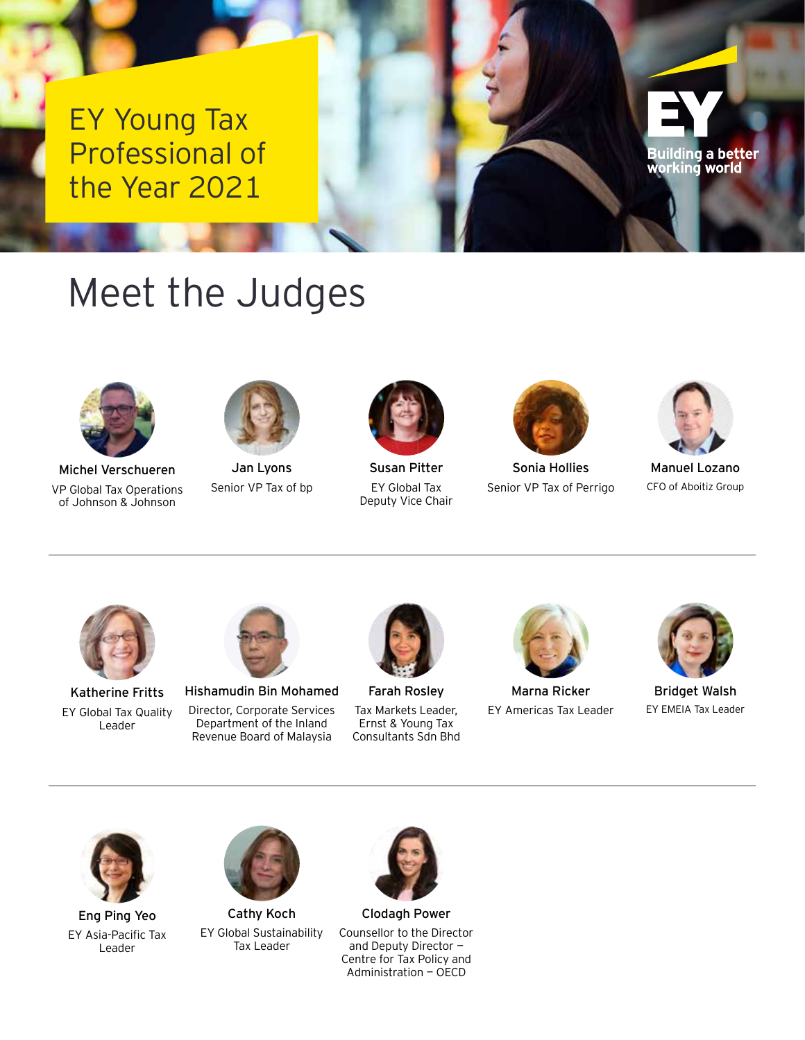EY Young Tax Professional of the Year 2021

## Meet the Judges



Michel Verschueren VP Global Tax Operations of Johnson & Johnson



Jan Lyons Senior VP Tax of bp



Susan Pitter EY Global Tax Deputy Vice Chair



Sonia Hollies Senior VP Tax of Perrigo



Building a better working world

Manuel Lozano CFO of Aboitiz Group



Katherine Fritts EY Global Tax Quality Leader



Hishamudin Bin Mohamed Director, Corporate Services Department of the Inland Revenue Board of Malaysia



Farah Rosley Tax Markets Leader, Ernst & Young Tax Consultants Sdn Bhd



Marna Ricker EY Americas Tax Leader



Bridget Walsh EY EMEIA Tax Leader



Eng Ping Yeo EY Asia-Pacific Tax Leader



Cathy Koch EY Global Sustainability Tax Leader



Clodagh Power Counsellor to the Director and Deputy Director — Centre for Tax Policy and Administration — OECD